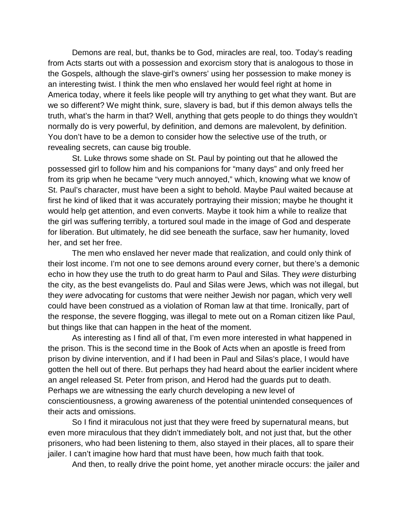Demons are real, but, thanks be to God, miracles are real, too. Today's reading from Acts starts out with a possession and exorcism story that is analogous to those in the Gospels, although the slave-girl's owners' using her possession to make money is an interesting twist. I think the men who enslaved her would feel right at home in America today, where it feels like people will try anything to get what they want. But are we so different? We might think, sure, slavery is bad, but if this demon always tells the truth, what's the harm in that? Well, anything that gets people to do things they wouldn't normally do is very powerful, by definition, and demons are malevolent, by definition. You don't have to be a demon to consider how the selective use of the truth, or revealing secrets, can cause big trouble.

St. Luke throws some shade on St. Paul by pointing out that he allowed the possessed girl to follow him and his companions for "many days" and only freed her from its grip when he became "very much annoyed," which, knowing what we know of St. Paul's character, must have been a sight to behold. Maybe Paul waited because at first he kind of liked that it was accurately portraying their mission; maybe he thought it would help get attention, and even converts. Maybe it took him a while to realize that the girl was suffering terribly, a tortured soul made in the image of God and desperate for liberation. But ultimately, he did see beneath the surface, saw her humanity, loved her, and set her free.

The men who enslaved her never made that realization, and could only think of their lost income. I'm not one to see demons around every corner, but there's a demonic echo in how they use the truth to do great harm to Paul and Silas. They *were* disturbing the city, as the best evangelists do. Paul and Silas were Jews, which was not illegal, but they *were* advocating for customs that were neither Jewish nor pagan, which very well could have been construed as a violation of Roman law at that time. Ironically, part of the response, the severe flogging, was illegal to mete out on a Roman citizen like Paul, but things like that can happen in the heat of the moment.

As interesting as I find all of that, I'm even more interested in what happened in the prison. This is the second time in the Book of Acts when an apostle is freed from prison by divine intervention, and if I had been in Paul and Silas's place, I would have gotten the hell out of there. But perhaps they had heard about the earlier incident where an angel released St. Peter from prison, and Herod had the guards put to death. Perhaps we are witnessing the early church developing a new level of conscientiousness, a growing awareness of the potential unintended consequences of their acts and omissions.

So I find it miraculous not just that they were freed by supernatural means, but even more miraculous that they didn't immediately bolt, and not just that, but the other prisoners, who had been listening to them, also stayed in their places, all to spare their jailer. I can't imagine how hard that must have been, how much faith that took.

And then, to really drive the point home, yet another miracle occurs: the jailer and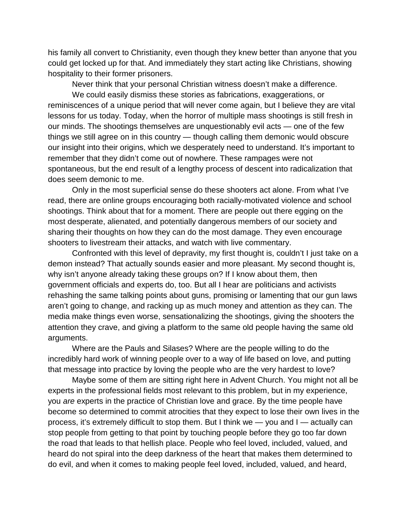his family all convert to Christianity, even though they knew better than anyone that you could get locked up for that. And immediately they start acting like Christians, showing hospitality to their former prisoners.

Never think that your personal Christian witness doesn't make a difference.

We could easily dismiss these stories as fabrications, exaggerations, or reminiscences of a unique period that will never come again, but I believe they are vital lessons for us today. Today, when the horror of multiple mass shootings is still fresh in our minds. The shootings themselves are unquestionably evil acts — one of the few things we still agree on in this country — though calling them demonic would obscure our insight into their origins, which we desperately need to understand. It's important to remember that they didn't come out of nowhere. These rampages were not spontaneous, but the end result of a lengthy process of descent into radicalization that does seem demonic to me.

Only in the most superficial sense do these shooters act alone. From what I've read, there are online groups encouraging both racially-motivated violence and school shootings. Think about that for a moment. There are people out there egging on the most desperate, alienated, and potentially dangerous members of our society and sharing their thoughts on how they can do the most damage. They even encourage shooters to livestream their attacks, and watch with live commentary.

Confronted with this level of depravity, my first thought is, couldn't I just take on a demon instead? That actually sounds easier and more pleasant. My second thought is, why isn't anyone already taking these groups on? If I know about them, then government officials and experts do, too. But all I hear are politicians and activists rehashing the same talking points about guns, promising or lamenting that our gun laws aren't going to change, and racking up as much money and attention as they can. The media make things even worse, sensationalizing the shootings, giving the shooters the attention they crave, and giving a platform to the same old people having the same old arguments.

Where are the Pauls and Silases? Where are the people willing to do the incredibly hard work of winning people over to a way of life based on love, and putting that message into practice by loving the people who are the very hardest to love?

Maybe some of them are sitting right here in Advent Church. You might not all be experts in the professional fields most relevant to this problem, but in my experience, you *are* experts in the practice of Christian love and grace. By the time people have become so determined to commit atrocities that they expect to lose their own lives in the process, it's extremely difficult to stop them. But I think we — you and I — actually can stop people from getting to that point by touching people before they go too far down the road that leads to that hellish place. People who feel loved, included, valued, and heard do not spiral into the deep darkness of the heart that makes them determined to do evil, and when it comes to making people feel loved, included, valued, and heard,